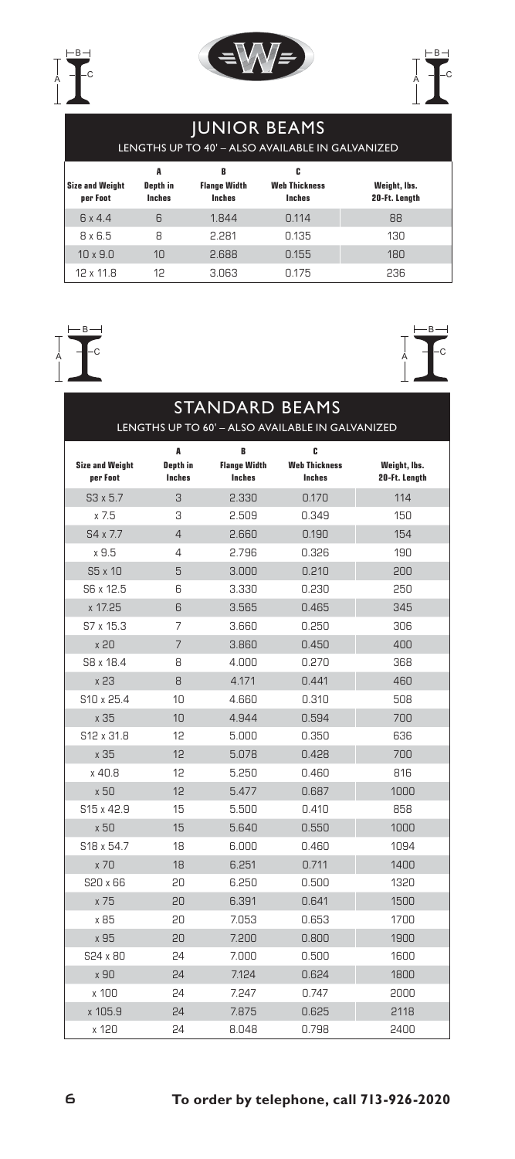





## Junior Beams

lengths up to 40' – Also available in Galvanized

| <b>Size and Weight</b><br>per Foot | A<br>Depth in<br>Inches | B<br><b>Flange Width</b><br>Inches | c<br><b>Web Thickness</b><br><b>Inches</b> | Weight, Ibs.<br>20-Ft. Length |
|------------------------------------|-------------------------|------------------------------------|--------------------------------------------|-------------------------------|
| 6x4.4                              | 6                       | 1.844                              | 0.114                                      | 88                            |
| $8 \times 6.5$                     | 8                       | 2.281                              | 0.135                                      | 130 <sub>2</sub>              |
| $10 \times 9.0$                    | 1 <sub>0</sub>          | 2.688                              | 0.155                                      | 180                           |
| 12 x 11.8                          | 12                      | 3.063                              | 0.175                                      | 236                           |

## $\overline{A}$  -c B



| <b>STANDARD BEAMS</b>              |                           |                                      |                                                  |                               |  |  |  |  |
|------------------------------------|---------------------------|--------------------------------------|--------------------------------------------------|-------------------------------|--|--|--|--|
|                                    |                           |                                      | LENGTHS UP TO 60' - ALSO AVAILABLE IN GALVANIZED |                               |  |  |  |  |
|                                    | A                         | в                                    | c<br><b>Web Thickness</b>                        |                               |  |  |  |  |
| <b>Size and Weight</b><br>per Foot | Depth in<br><b>Inches</b> | <b>Flange Width</b><br><b>Inches</b> | <b>Inches</b>                                    | Weight, lbs.<br>20-Ft. Length |  |  |  |  |
| $S3 \times 5.7$                    | 3                         | 2.330                                | 0.170                                            | 114                           |  |  |  |  |
| x 7.5                              | 3                         | 2.509                                | 0.349                                            | 150                           |  |  |  |  |
| S4 x 7.7                           | $\overline{4}$            | 2.660                                | 0.190                                            | 154                           |  |  |  |  |
| x9.5                               | 4                         | 2.796                                | 0.326                                            | 190                           |  |  |  |  |
| S5 x 10                            | 5                         | 3.000                                | 0.210                                            | 200                           |  |  |  |  |
| S6 x 12.5                          | 6                         | 3.330                                | 0.230                                            | 250                           |  |  |  |  |
| x 17.25                            | 6                         | 3.565                                | 0.465                                            | 345                           |  |  |  |  |
| S7 x 15.3                          | 7                         | 3.660                                | 0.250                                            | 306                           |  |  |  |  |
| x <sub>20</sub>                    | $\overline{7}$            | 3.860                                | 0.450                                            | 400                           |  |  |  |  |
| S8 x 18.4                          | 8                         | 4.000                                | 0.270                                            | 368                           |  |  |  |  |
| x 23                               | 8                         | 4.171                                | 0.441                                            | 460                           |  |  |  |  |
| S10 x 25.4                         | 10                        | 4.660                                | 0.310                                            | 508                           |  |  |  |  |
| x 35                               | 10                        | 4.944                                | 0.594                                            | 700                           |  |  |  |  |
| S12 x 31.8                         | 12                        | 5.000                                | 0.350                                            | 636                           |  |  |  |  |
| x 35                               | 12                        | 5.078                                | 0.428                                            | 700                           |  |  |  |  |
| x 40.8                             | 12                        | 5.250                                | 0.460                                            | 816                           |  |  |  |  |
| x 50                               | 12                        | 5.477                                | 0.687                                            | 1000                          |  |  |  |  |
| S <sub>15</sub> x 42.9             | 15                        | 5.500                                | 0.410                                            | 858                           |  |  |  |  |
| x 50                               | 15                        | 5.640                                | 0.550                                            | 1000                          |  |  |  |  |
| S18 x 54.7                         | 18                        | 6.000                                | 0.460                                            | 1094                          |  |  |  |  |
| x 70                               | 18                        | 6.251                                | 0.711                                            | 1400                          |  |  |  |  |
| S20 x 66                           | 20                        | 6.250                                | 0.500                                            | 1320                          |  |  |  |  |
| x 75                               | 20                        | 6.391                                | 0.641                                            | 1500                          |  |  |  |  |
| x 85                               | 20                        | 7.053                                | 0.653                                            | 1700                          |  |  |  |  |
| x 95                               | 20                        | 7.200                                | 0.800                                            | 1900                          |  |  |  |  |
| S24 x 80                           | 24                        | 7.000                                | 0.500                                            | 1600                          |  |  |  |  |
| x 90                               | 24                        | 7.124                                | 0.624                                            | 1800                          |  |  |  |  |
| $x$ 100                            | 24                        | 7.247                                | 0.747                                            | 2000                          |  |  |  |  |
| x 105.9                            | 24                        | 7.875                                | 0.625                                            | 2118                          |  |  |  |  |
| x 120                              | 24                        | 8.048                                | 0.798                                            | 2400                          |  |  |  |  |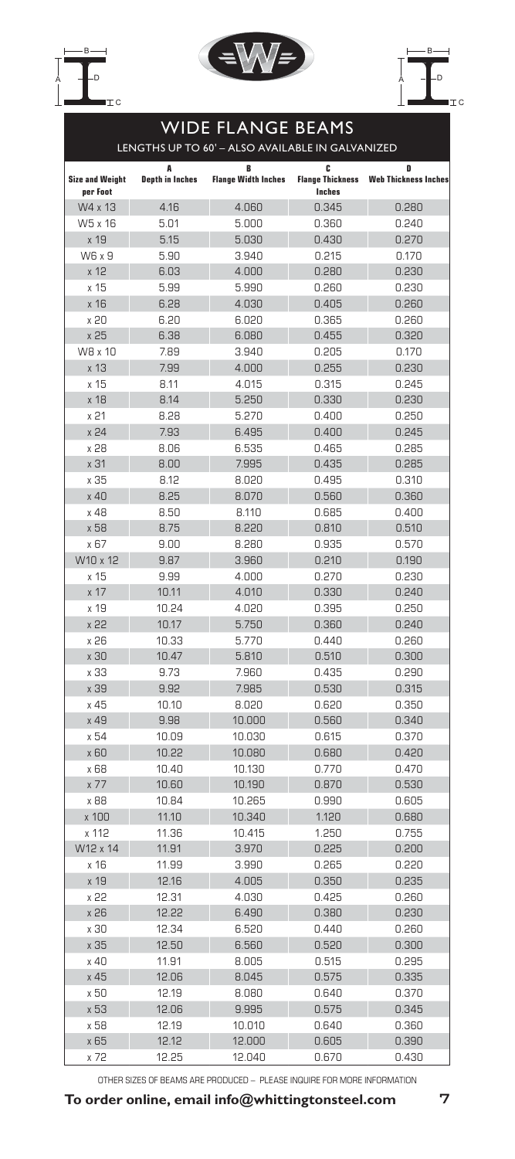





## Wide Flange Beams lengths up to 60' – Also available in Galvanized **A B C D Size and Weight per Foot Depth in Inches Flange Width Inches Flange Thickness Inches Web Thickness Inch** W4 x 13 4.16 4.060 0.345 0.280 W5 x 16 5.01 5.000 0.360 0.240 x 19 5.15 5.030 0.430 0.270 W6 x 9 5.90 3.940 0.215 0.170 x 12 6.03 4.000 0.280 0.230 x 15 5.99 5.990 0.260 0.230 x 16 6.28 4.030 0.405 0.260 x 20 6.20 6.020 0.365 0.260 x 25 6.38 6.080 0.455 0.320 W8 x 10 7.89 3.940 0.205 0.170 x 13 7.99 4.000 0.255 0.230 x 15 8.11 4.015 0.315 0.245 x 18 8.14 5.250 0.330 0.230 x 21 8.28 5.270 0.400 0.250 x 24 7.93 6.495 0.400 0.245 x 28 8.06 6.535 0.465 0.285 x 31 8.00 7.995 0.435 0.285 x 35 8.12 8.020 0.495 0.310 x 40 8.25 8.070 0.560 0.360 x 48 8.50 8.110 0.685 0.400 x 58 8.75 8.220 0.810 0.510 x 67 9.00 8.280 0.935 0.570 W10 x 12 9.87 3.960 0.210 0.190 x 15 9.99 4.000 0.270 0.230 x 17 10.11 4.010 0.330 0.240 x 19 10.24 4.020 0.395 0.250 x 22 10.17 5.750 0.360 0.240 x 26 10.33 5.770 0.440 0.260 x 30 10.47 5.810 0.510 0.300 x 33 9.73 7.960 0.435 0.290 x 39 9.92 7.985 0.530 0.315 x 45 10.10 8.020 0.620 0.350 x 49 9.98 10.000 0.560 0.340 x 54 10.09 10.030 0.615 0.370 x 60 10.22 10.080 0.680 0.420 x 68 10.40 10.130 0.770 0.470 x 77 10.60 10.190 0.870 0.530 x 88 10.84 10.265 0.990 0.605 x 100 11.10 10.340 1.120 0.680 x 112 11.36 10.415 1.250 0.755 W12 x 14 11.91 3.970 0.225 0.200 x 16 11.99 3.990 0.265 0.220 x 19 12.16 4.005 0.350 0.235 x 22 12.31 4.030 0.425 0.260 x 26 12.22 6.490 0.380 0.230 x 30 12.34 6.520 0.440 0.260 x 35 12.50 6.560 0.520 0.300 x 40 11.91 8.005 0.515 0.295 x 45 12.06 8.045 0.575 0.335 x 50 12.19 8.080 0.640 0.370 x 53 12.06 9.995 0.575 0.345 x 58 12.19 10.010 0.640 0.360 x 65 12.12 12.000 0.605 0.390 x 72 12.25 12.040 0.670 0.430

OTHER SIZES OF BEAMS ARE PRODUCED – PLEASE INQUIRE FOR MORE INFORMATION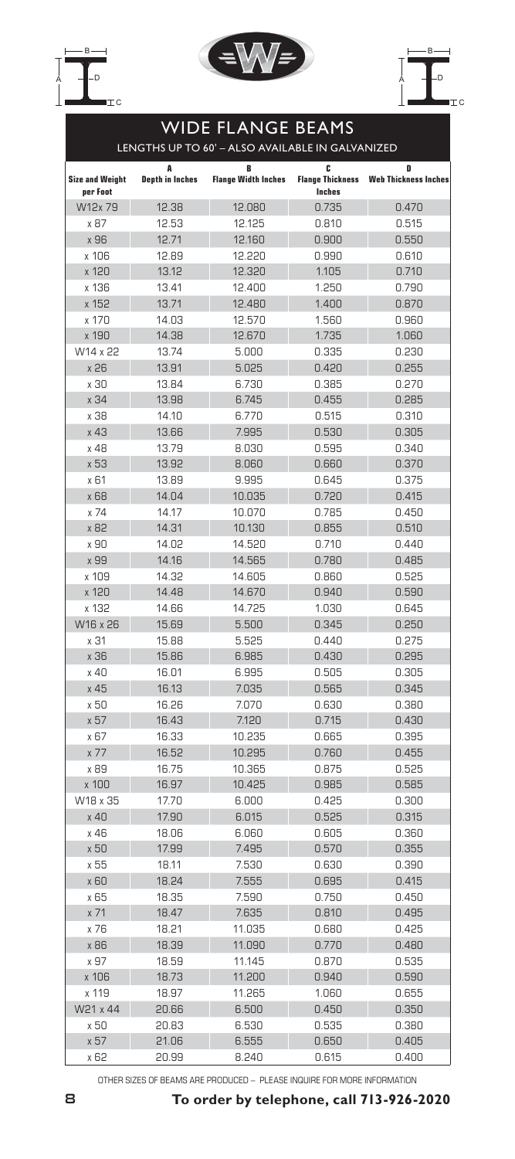





## Wide Flange Beams lengths up to 60' – Also available in Galvanized **A B C D Size and Weight per Foot Depth in Inches Flange Width Inches Flange Thickness Inches Web Thickness Inches** W12x 79 12.38 12.080 0.735 0.470 x 87 12.53 12.125 0.810 0.515 x 96 12.71 12.160 0.900 0.550 x 106 12.89 12.220 0.990 0.610 x 120 13.12 12.320 1.105 0.710 x 136 13.41 12.400 1.250 0.790 x 152 13.71 12.480 1.400 0.870 x 170 14.03 12.570 1.560 0.960 x 190 14.38 12.670 1.735 1.060 W14 x 22 13.74 5.000 0.335 0.230 x 26 13.91 5.025 0.420 0.255 x 30 13.84 6.730 0.385 0.270 x 34 13.98 6.745 0.455 0.285 x 38 14.10 6.770 0.515 0.310 x 43 13.66 7.995 0.530 0.305 x 48 13.79 8.030 0.595 0.340 x 53 13.92 8.060 0.660 0.370 x 61 13.89 9.995 0.645 0.375 x 68 14.04 10.035 0.720 0.415 x 74 14.17 10.070 0.785 0.450 x 82 14.31 10.130 0.855 0.510 x 90 14.02 14.520 0.710 0.440 x 99 14.16 14.565 0.780 0.485 x 109 14.32 14.605 0.860 0.525 x 120 14.48 14.670 0.940 0.590 x 132 14.66 14.725 1.030 0.645 W16 x 26 15.69 5.500 0.345 0.250 x 31 15.88 5.525 0.440 0.275 x 36 15.86 6.985 0.430 0.295 x 40 16.01 6.995 0.505 0.305 x 45 16.13 7.035 0.565 0.345 x 50 16.26 7.070 0.630 0.380 x 57 16.43 7.120 0.715 0.430 x 67 16.33 10.235 0.665 0.395 x 77 16.52 10.295 0.760 0.455 x 89 16.75 10.365 0.875 0.525 x 100 16.97 10.425 0.985 0.585 W18 x 35 17.70 6.000 0.425 0.300 x 40 17.90 6.015 0.525 0.315 x 46 18.06 6.060 0.605 0.360 x 50 17.99 7.495 0.570 0.355 x 55 18.11 7.530 0.630 0.390 x 60 18.24 7.555 0.695 0.415 x 65 18.35 7.590 0.750 0.450 x 71 18.47 7.635 0.810 0.495 x 76 18.21 11.035 0.680 0.425 x 86 18.39 11.090 0.770 0.480 x 97 18.59 11.145 0.870 0.535 x 106 18.73 11.200 0.940 0.590 x 119 18.97 11.265 1.060 0.655 W21 x 44 20.66 6.500 0.450 0.350 x 50 20.83 6.530 0.535 0.380 x 57 21.06 6.555 0.650 0.405 x 62 20.99 8.240 0.615 0.400

OTHER SIZES OF BEAMS ARE PRODUCED – PLEASE INQUIRE FOR MORE INFORMATION